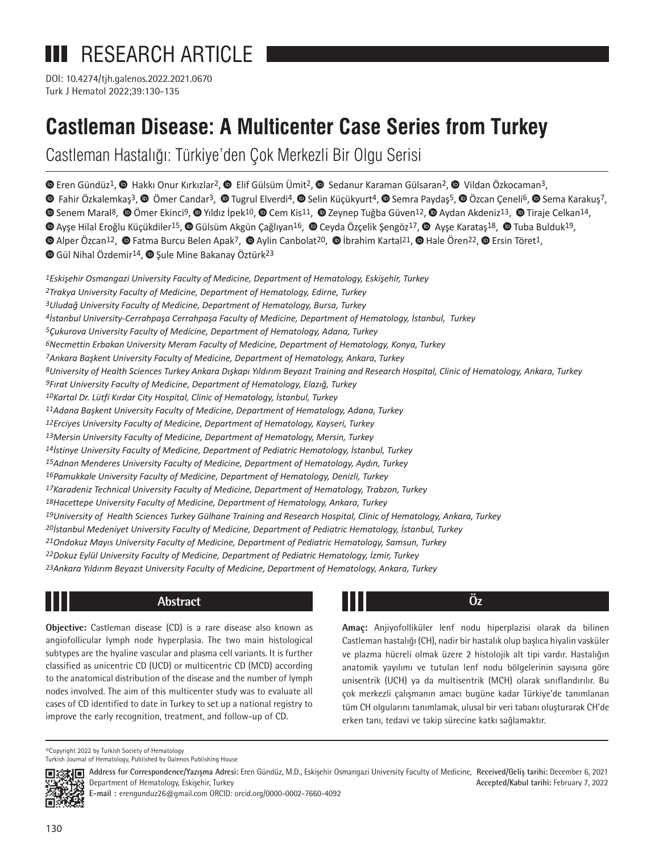# **III** RESEARCH ARTICLE

Turk J Hematol 2022;39:130-135 DOI: 10.4274/tjh.galenos.2022.2021.0670

# **Castleman Disease: A Multicenter Case Series from Turkey**

Castleman Hastalığı: Türkiye'den Çok Merkezli Bir Olgu Serisi

 $\bullet$ Eren Gündüz<sup>1</sup>,  $\bullet$  Hakkı Onur Kırkızlar<sup>2</sup>,  $\bullet$  Elif Gülsüm Ümit<sup>2</sup>,  $\bullet$  Sedanur Karaman Gülsaran<sup>2</sup>,  $\bullet$  Vildan Özkocaman<sup>3</sup>,

 $\bullet$ Fahir Özkalemkaş<sup>3</sup>,  $\bullet$  Ömer Candar<sup>3</sup>,  $\bullet$  Tugrul Elverdi<sup>4</sup>,  $\bullet$  Selin Küçükyurt<sup>4</sup>,  $\bullet$  Semra Paydaş<sup>5</sup>,  $\bullet$  Özcan Çeneli<sup>6</sup>,  $\bullet$  Sema Karakuş7,

**O**Senem Maral<sup>8</sup>, © Ömer Ekinci<sup>9</sup>, © Yıldız İpek<sup>10</sup>, © Cem Kis<sup>11</sup>, © Zeynep Tuğba Güven<sup>12</sup>, © Aydan Akdeniz<sup>13</sup>, © Tiraje Celkan<sup>14</sup>,

 $\bullet$  [A](https://orcid.org/0000-0002-2604-3127)yseHilal Eroğlu Küçükdiler<sup>15</sup>,  $\bullet$  Gülsüm Akgün Çağlıyan<sup>16</sup>,  $\bullet$  Ceyda Özçelik Şengöz<sup>17</sup>,  $\bullet$  Ayse Karataş<sup>18</sup>,  $\bullet$  Tuba Bulduk<sup>19</sup>,

 $\bullet$ Alper Özcan<sup>12</sup>[,](https://orcid.org/0000-0001-5760-8007)  $\bullet$  Fatma Burcu Belen Apak<sup>7</sup>,  $\bullet$  Aylin Canbolat<sup>20</sup>,  $\bullet$  İbrahim Kartal<sup>21</sup>,  $\bullet$  Hale Ören<sup>22</sup>,  $\bullet$  Ersin Töret<sup>1</sup>,

 $\bullet$ Gül Nihal Özdemir<sup>14</sup>,  $\bullet$  Sule Mine Bakanay Öztürk<sup>23</sup>

*Eskişehir Osmangazi University Faculty of Medicine, Department of Hematology, Eskişehir, Turkey 2Trakya University Faculty of Medicine, Department of Hematology, Edirne, Turkey Uludağ University Faculty of Medicine, Department of Hematology, Bursa, Turkey İstanbul University-Cerrahpaşa Cerrahpaşa Faculty of Medicine, Department of Hematology, İstanbul, Turkey 5Çukurova University Faculty of Medicine, Department of Hematology, Adana, Turkey 6Necmettin Erbakan University Meram Faculty of Medicine, Department of Hematology, Konya, Turkey Ankara Başkent University Faculty of Medicine, Department of Hematology, Ankara, Turkey University of Health Sciences Turkey Ankara Dışkapı Yıldırım Beyazıt Training and Research Hospital, Clinic of Hematology, Ankara, Turkey Fırat University Faculty of Medicine, Department of Hematology, Elazığ, Turkey Kartal Dr. Lütfi Kırdar City Hospital, Clinic of Hematology, İstanbul, Turkey Adana Başkent University Faculty of Medicine, Department of Hematology, Adana, Turkey 12Erciyes University Faculty of Medicine, Department of Hematology, Kayseri, Turkey 13Mersin University Faculty of Medicine, Department of Hematology, Mersin, Turkey İstinye University Faculty of Medicine, Department of Pediatric Hematology, İstanbul, Turkey Adnan Menderes University Faculty of Medicine, Department of Hematology, Aydın, Turkey Pamukkale University Faculty of Medicine, Department of Hematology, Denizli, Turkey 17Karadeniz Technical University Faculty of Medicine, Department of Hematology, Trabzon, Turkey 18Hacettepe University Faculty of Medicine, Department of Hematology, Ankara, Turkey University of Health Sciences Turkey Gülhane Training and Research Hospital, Clinic of Hematology, Ankara, Turkey İstanbul Medeniyet University Faculty of Medicine, Department of Pediatric Hematology, İstanbul, Turkey Ondokuz Mayıs University Faculty of Medicine, Department of Pediatric Hematology, Samsun, Turkey Dokuz Eylül University Faculty of Medicine, Department of Pediatric Hematology, İzmir, Turkey Ankara Yıldırım Beyazıt University Faculty of Medicine, Department of Hematology, Ankara, Turkey*

## **Abstract Öz**

**Objective:** Castleman disease (CD) is a rare disease also known as angiofollicular lymph node hyperplasia. The two main histological subtypes are the hyaline vascular and plasma cell variants. It is further classified as unicentric CD (UCD) or multicentric CD (MCD) according to the anatomical distribution of the disease and the number of lymph nodes involved. The aim of this multicenter study was to evaluate all cases of CD identified to date in Turkey to set up a national registry to improve the early recognition, treatment, and follow-up of CD.

**Amaç:** Anjiyofolliküler lenf nodu hiperplazisi olarak da bilinen Castleman hastalığı (CH), nadir bir hastalık olup başlıca hiyalin vasküler ve plazma hücreli olmak üzere 2 histolojik alt tipi vardır. Hastalığın anatomik yayılımı ve tutulan lenf nodu bölgelerinin sayısına göre unisentrik (UCH) ya da multisentrik (MCH) olarak sınıflandırılır. Bu çok merkezli çalışmanın amacı bugüne kadar Türkiye'de tanımlanan tüm CH olgularını tanımlamak, ulusal bir veri tabanı oluşturarak CH'de erken tanı, tedavi ve takip sürecine katkı sağlamaktır.

©Copyright 2022 by Turkish Society of Hematology Turkish Journal of Hematology, Published by Galenos Publishing House



130

**Received/Geliş tarihi:** December 6, 2021 **Address for Correspondence/Yazışma Adresi:** Eren Gündüz, M.D., Eskişehir Osmangazi University Faculty of Medicine, **Accepted/Kabul tarihi:** February 7, 2022 Department of Hematology, Eskişehir, Turkey

**E-mail :** erengunduz26@gmail.com ORCID: orcid.org/0000-0002-7660-4092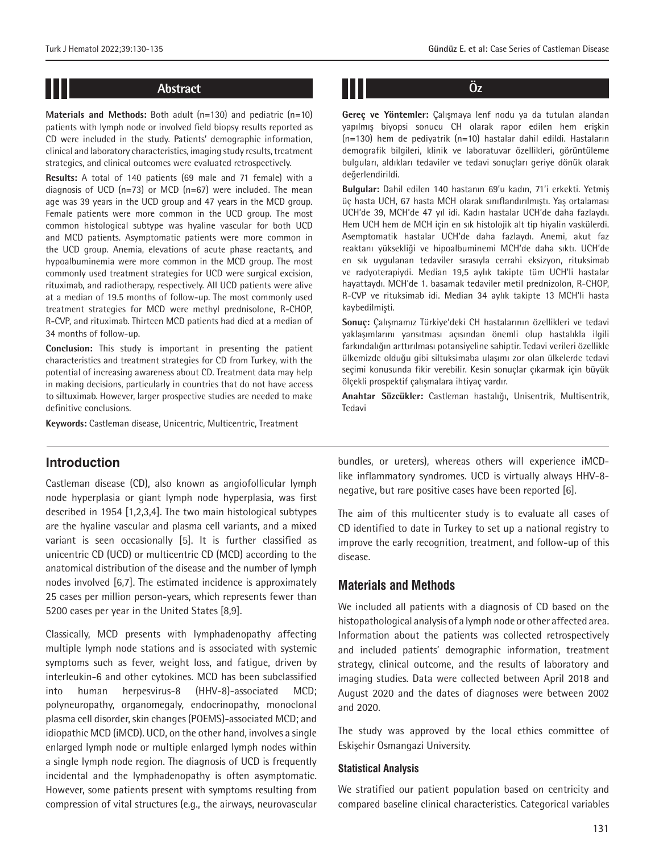**Materials and Methods:** Both adult (n=130) and pediatric (n=10) patients with lymph node or involved field biopsy results reported as CD were included in the study. Patients' demographic information, clinical and laboratory characteristics, imaging study results, treatment strategies, and clinical outcomes were evaluated retrospectively.

**Results:** A total of 140 patients (69 male and 71 female) with a diagnosis of UCD  $(n=73)$  or MCD  $(n=67)$  were included. The mean age was 39 years in the UCD group and 47 years in the MCD group. Female patients were more common in the UCD group. The most common histological subtype was hyaline vascular for both UCD and MCD patients. Asymptomatic patients were more common in the UCD group. Anemia, elevations of acute phase reactants, and hypoalbuminemia were more common in the MCD group. The most commonly used treatment strategies for UCD were surgical excision, rituximab, and radiotherapy, respectively. All UCD patients were alive at a median of 19.5 months of follow-up. The most commonly used treatment strategies for MCD were methyl prednisolone, R-CHOP, R-CVP, and rituximab. Thirteen MCD patients had died at a median of 34 months of follow-up.

**Conclusion:** This study is important in presenting the patient characteristics and treatment strategies for CD from Turkey, with the potential of increasing awareness about CD. Treatment data may help in making decisions, particularly in countries that do not have access to siltuximab. However, larger prospective studies are needed to make definitive conclusions.

**Keywords:** Castleman disease, Unicentric, Multicentric, Treatment

# **Abstract Öz**

**Gereç ve Yöntemler:** Çalışmaya lenf nodu ya da tutulan alandan yapılmış biyopsi sonucu CH olarak rapor edilen hem erişkin (n=130) hem de pediyatrik (n=10) hastalar dahil edildi. Hastaların demografik bilgileri, klinik ve laboratuvar özellikleri, görüntüleme bulguları, aldıkları tedaviler ve tedavi sonuçları geriye dönük olarak değerlendirildi.

**Bulgular:** Dahil edilen 140 hastanın 69'u kadın, 71'i erkekti. Yetmiş üç hasta UCH, 67 hasta MCH olarak sınıflandırılmıştı. Yaş ortalaması UCH'de 39, MCH'de 47 yıl idi. Kadın hastalar UCH'de daha fazlaydı. Hem UCH hem de MCH için en sık histolojik alt tip hiyalin vaskülerdi. Asemptomatik hastalar UCH'de daha fazlaydı. Anemi, akut faz reaktanı yüksekliği ve hipoalbuminemi MCH'de daha sıktı. UCH'de en sık uygulanan tedaviler sırasıyla cerrahi eksizyon, rituksimab ve radyoterapiydi. Median 19,5 aylık takipte tüm UCH'li hastalar hayattaydı. MCH'de 1. basamak tedaviler metil prednizolon, R-CHOP, R-CVP ve rituksimab idi. Median 34 aylık takipte 13 MCH'li hasta kaybedilmişti.

**Sonuç:** Çalışmamız Türkiye'deki CH hastalarının özellikleri ve tedavi yaklaşımlarını yansıtması açısından önemli olup hastalıkla ilgili farkındalığın arttırılması potansiyeline sahiptir. Tedavi verileri özellikle ülkemizde olduğu gibi siltuksimaba ulaşımı zor olan ülkelerde tedavi seçimi konusunda fikir verebilir. Kesin sonuçlar çıkarmak için büyük ölçekli prospektif çalışmalara ihtiyaç vardır.

**Anahtar Sözcükler:** Castleman hastalığı, Unisentrik, Multisentrik, Tedavi

### **Introduction**

Castleman disease (CD), also known as angiofollicular lymph node hyperplasia or giant lymph node hyperplasia, was first described in 1954 [1,2,3,4]. The two main histological subtypes are the hyaline vascular and plasma cell variants, and a mixed variant is seen occasionally [5]. It is further classified as unicentric CD (UCD) or multicentric CD (MCD) according to the anatomical distribution of the disease and the number of lymph nodes involved [6,7]. The estimated incidence is approximately 25 cases per million person-years, which represents fewer than 5200 cases per year in the United States [8,9].

Classically, MCD presents with lymphadenopathy affecting multiple lymph node stations and is associated with systemic symptoms such as fever, weight loss, and fatigue, driven by interleukin-6 and other cytokines. MCD has been subclassified into human herpesvirus-8 (HHV-8)-associated MCD; polyneuropathy, organomegaly, endocrinopathy, monoclonal plasma cell disorder, skin changes (POEMS)-associated MCD; and idiopathic MCD (iMCD). UCD, on the other hand, involves a single enlarged lymph node or multiple enlarged lymph nodes within a single lymph node region. The diagnosis of UCD is frequently incidental and the lymphadenopathy is often asymptomatic. However, some patients present with symptoms resulting from compression of vital structures (e.g., the airways, neurovascular bundles, or ureters), whereas others will experience iMCDlike inflammatory syndromes. UCD is virtually always HHV-8 negative, but rare positive cases have been reported [6].

The aim of this multicenter study is to evaluate all cases of CD identified to date in Turkey to set up a national registry to improve the early recognition, treatment, and follow-up of this disease.

#### **Materials and Methods**

We included all patients with a diagnosis of CD based on the histopathological analysis of a lymph node or other affected area. Information about the patients was collected retrospectively and included patients' demographic information, treatment strategy, clinical outcome, and the results of laboratory and imaging studies. Data were collected between April 2018 and August 2020 and the dates of diagnoses were between 2002 and 2020.

The study was approved by the local ethics committee of Eskişehir Osmangazi University.

#### **Statistical Analysis**

We stratified our patient population based on centricity and compared baseline clinical characteristics. Categorical variables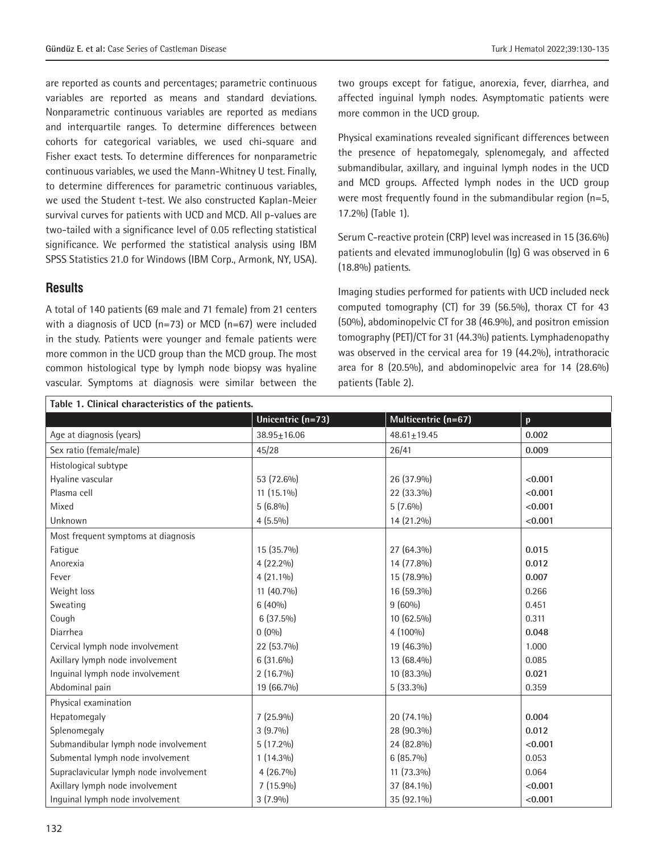are reported as counts and percentages; parametric continuous variables are reported as means and standard deviations. Nonparametric continuous variables are reported as medians and interquartile ranges. To determine differences between cohorts for categorical variables, we used chi-square and Fisher exact tests. To determine differences for nonparametric continuous variables, we used the Mann-Whitney U test. Finally, to determine differences for parametric continuous variables, we used the Student t-test. We also constructed Kaplan-Meier survival curves for patients with UCD and MCD. All p-values are two-tailed with a significance level of 0.05 reflecting statistical significance. We performed the statistical analysis using IBM SPSS Statistics 21.0 for Windows (IBM Corp., Armonk, NY, USA).

### **Results**

A total of 140 patients (69 male and 71 female) from 21 centers with a diagnosis of UCD (n=73) or MCD (n=67) were included in the study. Patients were younger and female patients were more common in the UCD group than the MCD group. The most common histological type by lymph node biopsy was hyaline vascular. Symptoms at diagnosis were similar between the

two groups except for fatigue, anorexia, fever, diarrhea, and affected inguinal lymph nodes. Asymptomatic patients were more common in the UCD group.

Physical examinations revealed significant differences between the presence of hepatomegaly, splenomegaly, and affected submandibular, axillary, and inguinal lymph nodes in the UCD and MCD groups. Affected lymph nodes in the UCD group were most frequently found in the submandibular region (n=5, 17.2%) (Table 1).

Serum C-reactive protein (CRP) level was increased in 15 (36.6%) patients and elevated immunoglobulin (Ig) G was observed in 6 (18.8%) patients.

Imaging studies performed for patients with UCD included neck computed tomography (CT) for 39 (56.5%), thorax CT for 43 (50%), abdominopelvic CT for 38 (46.9%), and positron emission tomography (PET)/CT for 31 (44.3%) patients. Lymphadenopathy was observed in the cervical area for 19 (44.2%), intrathoracic area for 8 (20.5%), and abdominopelvic area for 14 (28.6%) patients (Table 2).

| Table 1. Clinical characteristics of the patients. |                   |                     |              |  |  |
|----------------------------------------------------|-------------------|---------------------|--------------|--|--|
|                                                    | Unicentric (n=73) | Multicentric (n=67) | $\mathbf{p}$ |  |  |
| Age at diagnosis (years)                           | $38.95 \pm 16.06$ | $48.61 \pm 19.45$   | 0.002        |  |  |
| Sex ratio (female/male)                            | 45/28             | 26/41               | 0.009        |  |  |
| Histological subtype                               |                   |                     |              |  |  |
| Hyaline vascular                                   | 53 (72.6%)        | 26 (37.9%)          | < 0.001      |  |  |
| Plasma cell                                        | 11 (15.1%)        | 22 (33.3%)          | < 0.001      |  |  |
| Mixed                                              | $5(6.8\%)$        | $5(7.6\%)$          | < 0.001      |  |  |
| Unknown                                            | $4(5.5\%)$        | 14 (21.2%)          | < 0.001      |  |  |
| Most frequent symptoms at diagnosis                |                   |                     |              |  |  |
| Fatigue                                            | 15 (35.7%)        | 27 (64.3%)          | 0.015        |  |  |
| Anorexia                                           | $4(22.2\%)$       | 14 (77.8%)          | 0.012        |  |  |
| Fever                                              | $4(21.1\%)$       | 15 (78.9%)          | 0.007        |  |  |
| Weight loss                                        | 11 (40.7%)        | 16 (59.3%)          | 0.266        |  |  |
| Sweating                                           | $6(40\%)$         | $9(60\%)$           | 0.451        |  |  |
| Cough                                              | $6(37.5\%)$       | 10 (62.5%)          | 0.311        |  |  |
| Diarrhea                                           | $0(0\%)$          | 4 (100%)            | 0.048        |  |  |
| Cervical lymph node involvement                    | 22 (53.7%)        | 19 (46.3%)          | 1.000        |  |  |
| Axillary lymph node involvement                    | $6(31.6\%)$       | 13 (68.4%)          | 0.085        |  |  |
| Inguinal lymph node involvement                    | $2(16.7\%)$       | 10 (83.3%)          | 0.021        |  |  |
| Abdominal pain                                     | 19 (66.7%)        | $5(33.3\%)$         | 0.359        |  |  |
| Physical examination                               |                   |                     |              |  |  |
| Hepatomegaly                                       | $7(25.9\%)$       | 20 (74.1%)          | 0.004        |  |  |
| Splenomegaly                                       | $3(9.7\%)$        | 28 (90.3%)          | 0.012        |  |  |
| Submandibular lymph node involvement               | $5(17.2\%)$       | 24 (82.8%)          | < 0.001      |  |  |
| Submental lymph node involvement                   | $1(14.3\%)$       | 6 (85.7%)           | 0.053        |  |  |
| Supraclavicular lymph node involvement             | $4(26.7\%)$       | 11 (73.3%)          | 0.064        |  |  |
| Axillary lymph node involvement                    | 7 (15.9%)         | 37 (84.1%)          | < 0.001      |  |  |
| Inquinal lymph node involvement                    | $3(7.9\%)$        | 35 (92.1%)          | < 0.001      |  |  |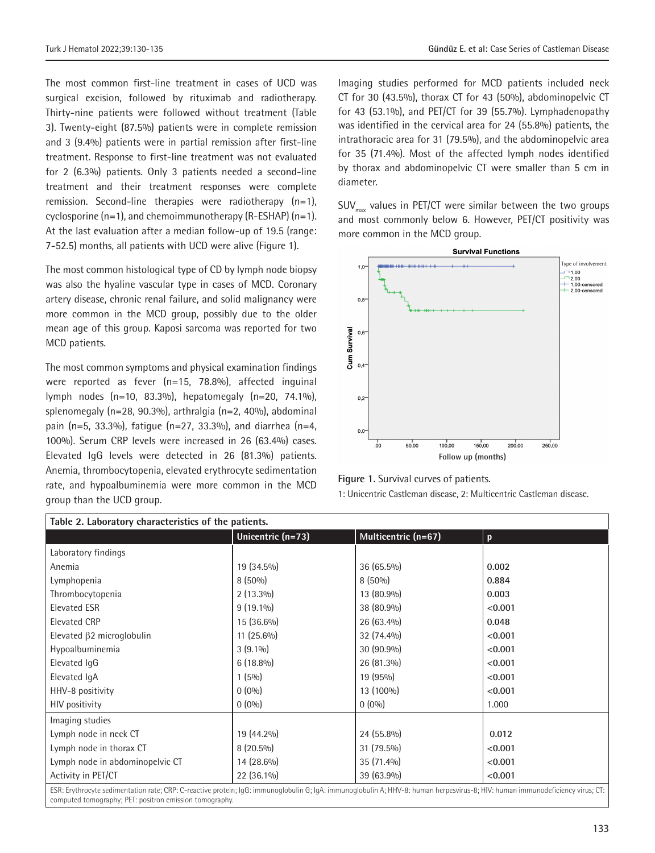The most common first-line treatment in cases of UCD was surgical excision, followed by rituximab and radiotherapy. Thirty-nine patients were followed without treatment (Table 3). Twenty-eight (87.5%) patients were in complete remission and 3 (9.4%) patients were in partial remission after first-line treatment. Response to first-line treatment was not evaluated for 2 (6.3%) patients. Only 3 patients needed a second-line treatment and their treatment responses were complete remission. Second-line therapies were radiotherapy (n=1), cyclosporine  $(n=1)$ , and chemoimmunotherapy  $(R-ESHAP)$   $(n=1)$ . At the last evaluation after a median follow-up of 19.5 (range: 7-52.5) months, all patients with UCD were alive (Figure 1).

The most common histological type of CD by lymph node biopsy was also the hyaline vascular type in cases of MCD. Coronary artery disease, chronic renal failure, and solid malignancy were more common in the MCD group, possibly due to the older mean age of this group. Kaposi sarcoma was reported for two MCD patients.

The most common symptoms and physical examination findings were reported as fever (n=15, 78.8%), affected inguinal lymph nodes (n=10, 83.3%), hepatomegaly (n=20, 74.1%), splenomegaly (n=28, 90.3%), arthralgia (n=2, 40%), abdominal pain ( $n=5$ , 33.3%), fatique ( $n=27$ , 33.3%), and diarrhea ( $n=4$ , 100%). Serum CRP levels were increased in 26 (63.4%) cases. Elevated IgG levels were detected in 26 (81.3%) patients. Anemia, thrombocytopenia, elevated erythrocyte sedimentation rate, and hypoalbuminemia were more common in the MCD group than the UCD group.

Imaging studies performed for MCD patients included neck CT for 30 (43.5%), thorax CT for 43 (50%), abdominopelvic CT for 43 (53.1%), and PET/CT for 39 (55.7%). Lymphadenopathy was identified in the cervical area for 24 (55.8%) patients, the intrathoracic area for 31 (79.5%), and the abdominopelvic area for 35 (71.4%). Most of the affected lymph nodes identified by thorax and abdominopelvic CT were smaller than 5 cm in diameter.

 $SUV_{\text{max}}$  values in PET/CT were similar between the two groups and most commonly below 6. However, PET/CT positivity was more common in the MCD group.



**Figure 1.** Survival curves of patients.

1: Unicentric Castleman disease, 2: Multicentric Castleman disease.

| Table 2. Laboratory characteristics of the patients.                                                                                                                                                                                      |                   |                     |              |  |  |
|-------------------------------------------------------------------------------------------------------------------------------------------------------------------------------------------------------------------------------------------|-------------------|---------------------|--------------|--|--|
|                                                                                                                                                                                                                                           | Unicentric (n=73) | Multicentric (n=67) | $\mathbf{p}$ |  |  |
| Laboratory findings                                                                                                                                                                                                                       |                   |                     |              |  |  |
| Anemia                                                                                                                                                                                                                                    | 19 (34.5%)        | 36 (65.5%)          | 0.002        |  |  |
| Lymphopenia                                                                                                                                                                                                                               | $8(50\%)$         | $8(50\%)$           | 0.884        |  |  |
| Thrombocytopenia                                                                                                                                                                                                                          | $2(13.3\%)$       | 13 (80.9%)          | 0.003        |  |  |
| <b>Elevated ESR</b>                                                                                                                                                                                                                       | $9(19.1\%)$       | 38 (80.9%)          | < 0.001      |  |  |
| <b>Elevated CRP</b>                                                                                                                                                                                                                       | 15 (36.6%)        | $26(63.4\%)$        | 0.048        |  |  |
| Elevated β2 microglobulin                                                                                                                                                                                                                 | $11(25.6\%)$      | 32 (74.4%)          | < 0.001      |  |  |
| Hypoalbuminemia                                                                                                                                                                                                                           | $3(9.1\%)$        | $30(90.9\%)$        | < 0.001      |  |  |
| Elevated IgG                                                                                                                                                                                                                              | $6(18.8\%)$       | 26 (81.3%)          | < 0.001      |  |  |
| Elevated IqA                                                                                                                                                                                                                              | $1(5\%)$          | 19 (95%)            | < 0.001      |  |  |
| HHV-8 positivity                                                                                                                                                                                                                          | $0(0\%)$          | 13 (100%)           | < 0.001      |  |  |
| <b>HIV</b> positivity                                                                                                                                                                                                                     | $0(0\%)$          | $0(0\%)$            | 1.000        |  |  |
| Imaging studies                                                                                                                                                                                                                           |                   |                     |              |  |  |
| Lymph node in neck CT                                                                                                                                                                                                                     | 19 (44.2%)        | 24 (55.8%)          | 0.012        |  |  |
| Lymph node in thorax CT                                                                                                                                                                                                                   | $8(20.5\%)$       | $31(79.5\%)$        | < 0.001      |  |  |
| Lymph node in abdominopelvic CT                                                                                                                                                                                                           | 14 (28.6%)        | $35(71.4\%)$        | < 0.001      |  |  |
| Activity in PET/CT                                                                                                                                                                                                                        | 22 (36.1%)        | 39 (63.9%)          | < 0.001      |  |  |
| ESR: Erythrocyte sedimentation rate; CRP: C-reactive protein; IgG: immunoglobulin G; IgA: immunoglobulin A; HHV-8: human herpesvirus-8; HIV: human immunodeficiency virus; CT:<br>computed tomography; PET: positron emission tomography. |                   |                     |              |  |  |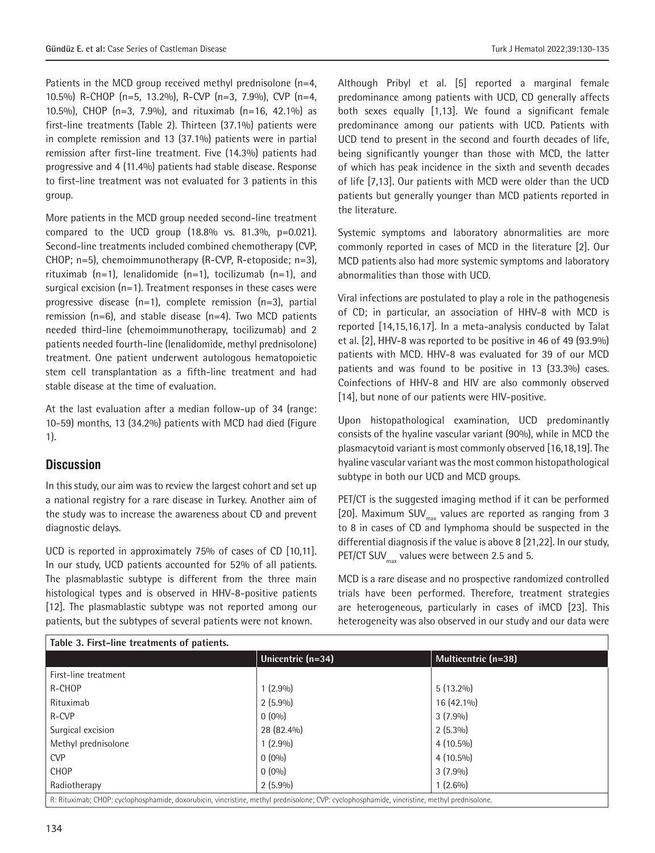Patients in the MCD group received methyl prednisolone (n=4, 10.5%) R-CHOP (n=5, 13.2%), R-CVP (n=3, 7.9%), CVP (n=4, 10.5%), CHOP (n=3, 7.9%), and rituximab (n=16, 42.1%) as first-line treatments (Table 2). Thirteen (37.1%) patients were in complete remission and 13 (37.1%) patients were in partial remission after first-line treatment. Five (14.3%) patients had progressive and 4 (11.4%) patients had stable disease. Response to first-line treatment was not evaluated for 3 patients in this group.

More patients in the MCD group needed second-line treatment compared to the UCD group  $(18.8\% \text{ vs. } 81.3\% \text{ p} = 0.021).$ Second-line treatments included combined chemotherapy (CVP, CHOP; n=5), chemoimmunotherapy (R-CVP, R-etoposide; n=3), rituximab  $(n=1)$ , lenalidomide  $(n=1)$ , tocilizumab  $(n=1)$ , and surgical excision (n=1). Treatment responses in these cases were progressive disease (n=1), complete remission (n=3), partial remission (n=6), and stable disease (n=4). Two MCD patients needed third-line (chemoimmunotherapy, tocilizumab) and 2 patients needed fourth-line (lenalidomide, methyl prednisolone) treatment. One patient underwent autologous hematopoietic stem cell transplantation as a fifth-line treatment and had stable disease at the time of evaluation.

At the last evaluation after a median follow-up of 34 (range: 10-59) months, 13 (34.2%) patients with MCD had died (Figure 1).

#### **Discussion**

In this study, our aim was to review the largest cohort and set up a national registry for a rare disease in Turkey. Another aim of the study was to increase the awareness about CD and prevent diagnostic delays.

UCD is reported in approximately 75% of cases of CD [10,11]. In our study, UCD patients accounted for 52% of all patients. The plasmablastic subtype is different from the three main histological types and is observed in HHV-8-positive patients [12]. The plasmablastic subtype was not reported among our patients, but the subtypes of several patients were not known.

Although Pribyl et al. [5] reported a marginal female predominance among patients with UCD, CD generally affects both sexes equally [1,13]. We found a significant female predominance among our patients with UCD. Patients with UCD tend to present in the second and fourth decades of life, being significantly younger than those with MCD, the latter of which has peak incidence in the sixth and seventh decades of life [7,13]. Our patients with MCD were older than the UCD patients but generally younger than MCD patients reported in the literature.

Systemic symptoms and laboratory abnormalities are more commonly reported in cases of MCD in the literature [2]. Our MCD patients also had more systemic symptoms and laboratory abnormalities than those with UCD.

Viral infections are postulated to play a role in the pathogenesis of CD; in particular, an association of HHV-8 with MCD is reported [14,15,16,17]. In a meta-analysis conducted by Talat et al. [2], HHV-8 was reported to be positive in 46 of 49 (93.9%) patients with MCD. HHV-8 was evaluated for 39 of our MCD patients and was found to be positive in 13 (33.3%) cases. Coinfections of HHV-8 and HIV are also commonly observed [14], but none of our patients were HIV-positive.

Upon histopathological examination, UCD predominantly consists of the hyaline vascular variant (90%), while in MCD the plasmacytoid variant is most commonly observed [16,18,19]. The hyaline vascular variant was the most common histopathological subtype in both our UCD and MCD groups.

PET/CT is the suggested imaging method if it can be performed [20]. Maximum SUV $_{\text{max}}$  values are reported as ranging from 3 to 8 in cases of CD and lymphoma should be suspected in the differential diagnosis if the value is above 8 [21,22]. In our study, PET/CT SUV $_{\text{max}}$  values were between 2.5 and 5.

MCD is a rare disease and no prospective randomized controlled trials have been performed. Therefore, treatment strategies are heterogeneous, particularly in cases of iMCD [23]. This heterogeneity was also observed in our study and our data were

| Table 3. First-line treatments of patients.                                                                                                   |                   |                     |  |  |
|-----------------------------------------------------------------------------------------------------------------------------------------------|-------------------|---------------------|--|--|
|                                                                                                                                               | Unicentric (n=34) | Multicentric (n=38) |  |  |
| First-line treatment                                                                                                                          |                   |                     |  |  |
| R-CHOP                                                                                                                                        | $1(2.9\%)$        | $5(13.2\%)$         |  |  |
| Rituximab                                                                                                                                     | $2(5.9\%)$        | 16 (42.1%)          |  |  |
| R-CVP                                                                                                                                         | $0(0\%)$          | $3(7.9\%)$          |  |  |
| Surgical excision                                                                                                                             | 28 (82.4%)        | $2(5.3\%)$          |  |  |
| Methyl prednisolone                                                                                                                           | $1(2.9\%)$        | $4(10.5\%)$         |  |  |
| <b>CVP</b>                                                                                                                                    | $0(0\%)$          | $4(10.5\%)$         |  |  |
| <b>CHOP</b>                                                                                                                                   | $0(0\%)$          | $3(7.9\%)$          |  |  |
| Radiotherapy                                                                                                                                  | $2(5.9\%)$        | $1(2.6\%)$          |  |  |
| R: Rituximab; CHOP: cyclophosphamide, doxorubicin, vincristine, methyl prednisolone; CVP: cyclophosphamide, vincristine, methyl prednisolone. |                   |                     |  |  |